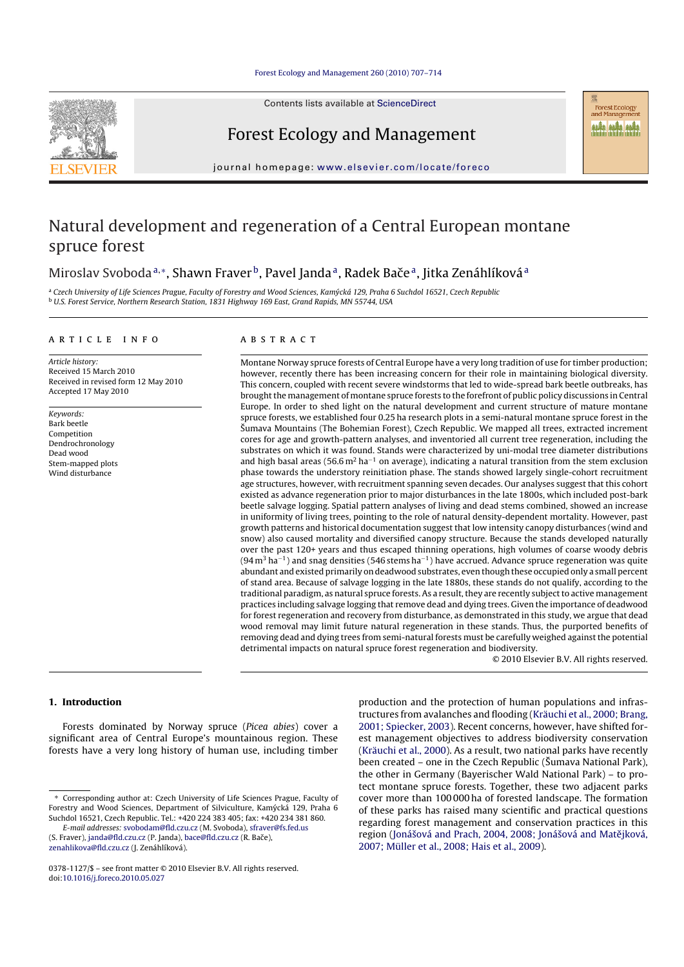

Contents lists available at ScienceDirect

Forest Ecology and Management

**Forest Ecology** and Management MA MA MA

journal homepage: www.elsevier.com/locate/foreco

# Natural development and regeneration of a Central European montane spruce forest

# Miroslav Svoboda<sup>a,</sup>\*, Shawn Fraver<sup>b</sup>, Pavel Janda<sup>a</sup>, Radek Bače<sup>a</sup>, Jitka Zenáhlíková<sup>a</sup>

a Czech University of Life Sciences Prague, Faculty of Forestry and Wood Sciences, Kamýcká 129, Praha 6 Suchdol 16521, Czech Republic <sup>b</sup> U.S. Forest Service, Northern Research Station, 1831 Highway 169 East, Grand Rapids, MN 55744, USA

#### article info

Article history: Received 15 March 2010 Received in revised form 12 May 2010 Accepted 17 May 2010

Keywords: Bark beetle Competition Dendrochronology Dead wood Stem-mapped plots Wind disturbance

# ABSTRACT

Montane Norway spruce forests of Central Europe have a very long tradition of use for timber production; however, recently there has been increasing concern for their role in maintaining biological diversity. This concern, coupled with recent severe windstorms that led to wide-spread bark beetle outbreaks, has brought the management of montane spruce forests to the forefront of public policy discussions in Central Europe. In order to shed light on the natural development and current structure of mature montane spruce forests, we established four 0.25 ha research plots in a semi-natural montane spruce forest in the Sumava Mountains (The Bohemian Forest), Czech Republic. We mapped all trees, extracted increment ˇ cores for age and growth-pattern analyses, and inventoried all current tree regeneration, including the substrates on which it was found. Stands were characterized by uni-modal tree diameter distributions and high basal areas (56.6 m<sup>2</sup> ha<sup>−1</sup> on average), indicating a natural transition from the stem exclusion phase towards the understory reinitiation phase. The stands showed largely single-cohort recruitment age structures, however, with recruitment spanning seven decades. Our analyses suggest that this cohort existed as advance regeneration prior to major disturbances in the late 1800s, which included post-bark beetle salvage logging. Spatial pattern analyses of living and dead stems combined, showed an increase in uniformity of living trees, pointing to the role of natural density-dependent mortality. However, past growth patterns and historical documentation suggest that low intensity canopy disturbances (wind and snow) also caused mortality and diversified canopy structure. Because the stands developed naturally over the past 120+ years and thus escaped thinning operations, high volumes of coarse woody debris  $(94 \text{ m}^3 \text{ ha}^{-1})$  and snag densities (546 stems ha<sup>-1</sup>) have accrued. Advance spruce regeneration was quite abundant and existed primarily on deadwood substrates, even though these occupied only a small percent of stand area. Because of salvage logging in the late 1880s, these stands do not qualify, according to the traditional paradigm, as natural spruce forests. As a result, they are recently subject to active management practices including salvage logging that remove dead and dying trees. Given the importance of deadwood for forest regeneration and recovery from disturbance, as demonstrated in this study, we argue that dead wood removal may limit future natural regeneration in these stands. Thus, the purported benefits of removing dead and dying trees from semi-natural forests must be carefully weighed against the potential detrimental impacts on natural spruce forest regeneration and biodiversity.

© 2010 Elsevier B.V. All rights reserved.

# **1. Introduction**

Forests dominated by Norway spruce (Picea abies) cover a significant area of Central Europe's mountainous region. These forests have a very long history of human use, including timber

E-mail addresses: svobodam@fld.czu.cz (M. Svoboda), sfraver@fs.fed.us (S. Fraver), janda@fld.czu.cz (P. Janda), bace@fld.czu.cz (R. Bače), zenahlikova@fld.czu.cz (J. Zenáhlíková).

production and the protection of human populations and infrastructures from avalanches and flooding (Kräuchi et al., 2000; Brang, 2001; Spiecker, 2003). Recent concerns, however, have shifted forest management objectives to address biodiversity conservation (Kräuchi et al., 2000). As a result, two national parks have recently been created – one in the Czech Republic (Sumava National Park), the other in Germany (Bayerischer Wald National Park) – to protect montane spruce forests. Together, these two adjacent parks cover more than 100 000 ha of forested landscape. The formation of these parks has raised many scientific and practical questions regarding forest management and conservation practices in this region (Jonášová and Prach, 2004, 2008; Jonášová and Matějková, 2007; Müller et al., 2008; Hais et al., 2009).

Corresponding author at: Czech University of Life Sciences Prague, Faculty of Forestry and Wood Sciences, Department of Silviculture, Kamycká 129, Praha 6 ´ Suchdol 16521, Czech Republic. Tel.: +420 224 383 405; fax: +420 234 381 860.

<sup>0378-1127/\$ –</sup> see front matter © 2010 Elsevier B.V. All rights reserved. doi:10.1016/j.foreco.2010.05.027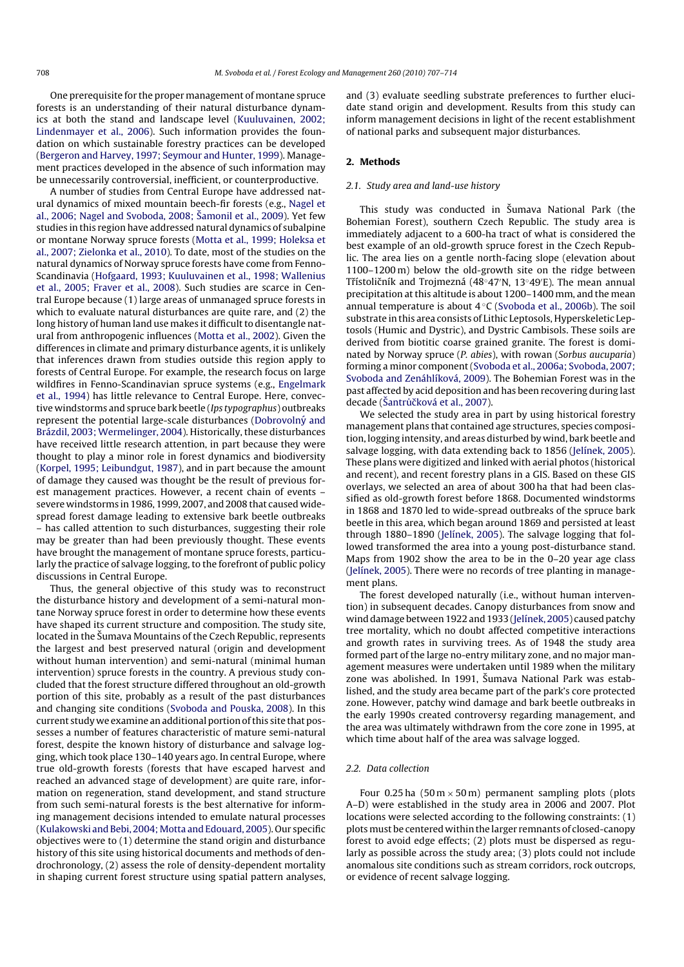One prerequisite for the proper management of montane spruce forests is an understanding of their natural disturbance dynamics at both the stand and landscape level (Kuuluvainen, 2002; Lindenmayer et al., 2006). Such information provides the foundation on which sustainable forestry practices can be developed (Bergeron and Harvey, 1997; Seymour and Hunter, 1999). Management practices developed in the absence of such information may be unnecessarily controversial, inefficient, or counterproductive.

A number of studies from Central Europe have addressed natural dynamics of mixed mountain beech-fir forests (e.g., Nagel et al., 2006; Nagel and Svoboda, 2008; Šamonil et al., 2009). Yet few studies in this region have addressed natural dynamics of subalpine or montane Norway spruce forests (Motta et al., 1999; Holeksa et al., 2007; Zielonka et al., 2010). To date, most of the studies on the natural dynamics of Norway spruce forests have come from Fenno-Scandinavia (Hofgaard, 1993; Kuuluvainen et al., 1998; Wallenius et al., 2005; Fraver et al., 2008). Such studies are scarce in Central Europe because (1) large areas of unmanaged spruce forests in which to evaluate natural disturbances are quite rare, and (2) the long history of human land use makes it difficult to disentangle natural from anthropogenic influences (Motta et al., 2002). Given the differences in climate and primary disturbance agents, it is unlikely that inferences drawn from studies outside this region apply to forests of Central Europe. For example, the research focus on large wildfires in Fenno-Scandinavian spruce systems (e.g., Engelmark et al., 1994) has little relevance to Central Europe. Here, convective windstorms and spruce bark beetle (Ips typographus) outbreaks represent the potential large-scale disturbances (Dobrovolný and Brázdil, 2003; Wermelinger, 2004). Historically, these disturbances have received little research attention, in part because they were thought to play a minor role in forest dynamics and biodiversity (Korpel, 1995; Leibundgut, 1987), and in part because the amount of damage they caused was thought be the result of previous forest management practices. However, a recent chain of events – severe windstorms in 1986, 1999, 2007, and 2008 that caused widespread forest damage leading to extensive bark beetle outbreaks – has called attention to such disturbances, suggesting their role may be greater than had been previously thought. These events have brought the management of montane spruce forests, particularly the practice of salvage logging, to the forefront of public policy discussions in Central Europe.

Thus, the general objective of this study was to reconstruct the disturbance history and development of a semi-natural montane Norway spruce forest in order to determine how these events have shaped its current structure and composition. The study site, located in the Sumava Mountains of the Czech Republic, represents the largest and best preserved natural (origin and development without human intervention) and semi-natural (minimal human intervention) spruce forests in the country. A previous study concluded that the forest structure differed throughout an old-growth portion of this site, probably as a result of the past disturbances and changing site conditions (Svoboda and Pouska, 2008). In this current study we examine an additional portion of this site that possesses a number of features characteristic of mature semi-natural forest, despite the known history of disturbance and salvage logging, which took place 130–140 years ago. In central Europe, where true old-growth forests (forests that have escaped harvest and reached an advanced stage of development) are quite rare, information on regeneration, stand development, and stand structure from such semi-natural forests is the best alternative for informing management decisions intended to emulate natural processes (Kulakowski and Bebi, 2004; Motta and Edouard, 2005). Our specific objectives were to (1) determine the stand origin and disturbance history of this site using historical documents and methods of dendrochronology, (2) assess the role of density-dependent mortality in shaping current forest structure using spatial pattern analyses, and (3) evaluate seedling substrate preferences to further elucidate stand origin and development. Results from this study can inform management decisions in light of the recent establishment of national parks and subsequent major disturbances.

#### **2. Methods**

#### 2.1. Study area and land-use history

This study was conducted in Šumava National Park (the Bohemian Forest), southern Czech Republic. The study area is immediately adjacent to a 600-ha tract of what is considered the best example of an old-growth spruce forest in the Czech Republic. The area lies on a gentle north-facing slope (elevation about 1100–1200 m) below the old-growth site on the ridge between Třístoličník and Trojmezná (48°47′N, 13°49′E). The mean annual precipitation at this altitude is about 1200–1400 mm, and the mean annual temperature is about  $4°C$  (Svoboda et al., 2006b). The soil substrate in this area consists of Lithic Leptosols, Hyperskeletic Leptosols (Humic and Dystric), and Dystric Cambisols. These soils are derived from biotitic coarse grained granite. The forest is dominated by Norway spruce (P. abies), with rowan (Sorbus aucuparia) forming a minor component (Svoboda et al., 2006a; Svoboda, 2007; Svoboda and Zenáhlíková, 2009). The Bohemian Forest was in the past affected by acid deposition and has been recovering during last decade (Šantrůčková et al., 2007).

We selected the study area in part by using historical forestry management plans that contained age structures, species composition, logging intensity, and areas disturbed by wind, bark beetle and salvage logging, with data extending back to 1856 (Jelínek, 2005). These plans were digitized and linked with aerial photos (historical and recent), and recent forestry plans in a GIS. Based on these GIS overlays, we selected an area of about 300 ha that had been classified as old-growth forest before 1868. Documented windstorms in 1868 and 1870 led to wide-spread outbreaks of the spruce bark beetle in this area, which began around 1869 and persisted at least through 1880–1890 (Jelínek, 2005). The salvage logging that followed transformed the area into a young post-disturbance stand. Maps from 1902 show the area to be in the 0–20 year age class (Jelínek, 2005). There were no records of tree planting in management plans.

The forest developed naturally (i.e., without human intervention) in subsequent decades. Canopy disturbances from snow and wind damage between 1922 and 1933 (Jelínek, 2005) caused patchy tree mortality, which no doubt affected competitive interactions and growth rates in surviving trees. As of 1948 the study area formed part of the large no-entry military zone, and no major management measures were undertaken until 1989 when the military zone was abolished. In 1991, Sumava National Park was established, and the study area became part of the park's core protected zone. However, patchy wind damage and bark beetle outbreaks in the early 1990s created controversy regarding management, and the area was ultimately withdrawn from the core zone in 1995, at which time about half of the area was salvage logged.

# 2.2. Data collection

Four 0.25 ha  $(50 \text{ m} \times 50 \text{ m})$  permanent sampling plots (plots A–D) were established in the study area in 2006 and 2007. Plot locations were selected according to the following constraints: (1) plots must be centered within the larger remnants of closed-canopy forest to avoid edge effects; (2) plots must be dispersed as regularly as possible across the study area; (3) plots could not include anomalous site conditions such as stream corridors, rock outcrops, or evidence of recent salvage logging.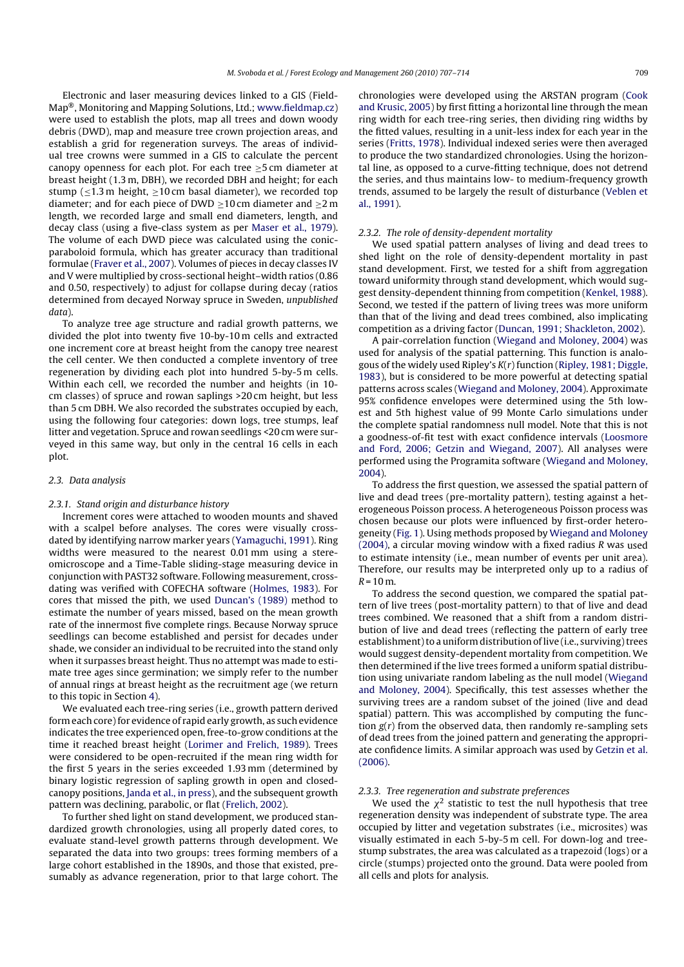Electronic and laser measuring devices linked to a GIS (Field-Map®, Monitoring and Mapping Solutions, Ltd.; www.fieldmap.cz) were used to establish the plots, map all trees and down woody debris (DWD), map and measure tree crown projection areas, and establish a grid for regeneration surveys. The areas of individual tree crowns were summed in a GIS to calculate the percent canopy openness for each plot. For each tree  $\geq$ 5 cm diameter at breast height (1.3 m, DBH), we recorded DBH and height; for each stump ( $\leq$ 1.3 m height,  $\geq$ 10 cm basal diameter), we recorded top diameter; and for each piece of DWD  $\geq$ 10 cm diameter and  $\geq$ 2 m length, we recorded large and small end diameters, length, and decay class (using a five-class system as per Maser et al., 1979). The volume of each DWD piece was calculated using the conicparaboloid formula, which has greater accuracy than traditional formulae (Fraver et al., 2007). Volumes of pieces in decay classes IV and V were multiplied by cross-sectional height–width ratios (0.86 and 0.50, respectively) to adjust for collapse during decay (ratios determined from decayed Norway spruce in Sweden, unpublished data).

To analyze tree age structure and radial growth patterns, we divided the plot into twenty five 10-by-10 m cells and extracted one increment core at breast height from the canopy tree nearest the cell center. We then conducted a complete inventory of tree regeneration by dividing each plot into hundred 5-by-5 m cells. Within each cell, we recorded the number and heights (in 10 cm classes) of spruce and rowan saplings >20 cm height, but less than 5 cm DBH. We also recorded the substrates occupied by each, using the following four categories: down logs, tree stumps, leaf litter and vegetation. Spruce and rowan seedlings <20 cm were surveyed in this same way, but only in the central 16 cells in each plot.

#### 2.3. Data analysis

#### 2.3.1. Stand origin and disturbance history

Increment cores were attached to wooden mounts and shaved with a scalpel before analyses. The cores were visually crossdated by identifying narrow marker years (Yamaguchi, 1991). Ring widths were measured to the nearest 0.01 mm using a stereomicroscope and a Time-Table sliding-stage measuring device in conjunction with PAST32 software. Following measurement, crossdating was verified with COFECHA software (Holmes, 1983). For cores that missed the pith, we used Duncan's (1989) method to estimate the number of years missed, based on the mean growth rate of the innermost five complete rings. Because Norway spruce seedlings can become established and persist for decades under shade, we consider an individual to be recruited into the stand only when it surpasses breast height. Thus no attempt was made to estimate tree ages since germination; we simply refer to the number of annual rings at breast height as the recruitment age (we return to this topic in Section 4).

We evaluated each tree-ring series (i.e., growth pattern derived form each core) for evidence of rapid early growth, as such evidence indicates the tree experienced open, free-to-grow conditions at the time it reached breast height (Lorimer and Frelich, 1989). Trees were considered to be open-recruited if the mean ring width for the first 5 years in the series exceeded 1.93 mm (determined by binary logistic regression of sapling growth in open and closedcanopy positions, Janda et al., in press), and the subsequent growth pattern was declining, parabolic, or flat (Frelich, 2002).

To further shed light on stand development, we produced standardized growth chronologies, using all properly dated cores, to evaluate stand-level growth patterns through development. We separated the data into two groups: trees forming members of a large cohort established in the 1890s, and those that existed, presumably as advance regeneration, prior to that large cohort. The chronologies were developed using the ARSTAN program (Cook and Krusic, 2005) by first fitting a horizontal line through the mean ring width for each tree-ring series, then dividing ring widths by the fitted values, resulting in a unit-less index for each year in the series (Fritts, 1978). Individual indexed series were then averaged to produce the two standardized chronologies. Using the horizontal line, as opposed to a curve-fitting technique, does not detrend the series, and thus maintains low- to medium-frequency growth trends, assumed to be largely the result of disturbance (Veblen et al., 1991).

#### 2.3.2. The role of density-dependent mortality

We used spatial pattern analyses of living and dead trees to shed light on the role of density-dependent mortality in past stand development. First, we tested for a shift from aggregation toward uniformity through stand development, which would suggest density-dependent thinning from competition (Kenkel, 1988). Second, we tested if the pattern of living trees was more uniform than that of the living and dead trees combined, also implicating competition as a driving factor (Duncan, 1991; Shackleton, 2002).

A pair-correlation function (Wiegand and Moloney, 2004) was used for analysis of the spatial patterning. This function is analogous of the widely used Ripley's  $K(r)$  function (Ripley, 1981; Diggle, 1983), but is considered to be more powerful at detecting spatial patterns across scales (Wiegand and Moloney, 2004). Approximate 95% confidence envelopes were determined using the 5th lowest and 5th highest value of 99 Monte Carlo simulations under the complete spatial randomness null model. Note that this is not a goodness-of-fit test with exact confidence intervals (Loosmore and Ford, 2006; Getzin and Wiegand, 2007). All analyses were performed using the Programita software (Wiegand and Moloney, 2004).

To address the first question, we assessed the spatial pattern of live and dead trees (pre-mortality pattern), testing against a heterogeneous Poisson process. A heterogeneous Poisson process was chosen because our plots were influenced by first-order heterogeneity (Fig. 1). Using methods proposed by Wiegand and Moloney (2004), a circular moving window with a fixed radius R was used to estimate intensity (i.e., mean number of events per unit area). Therefore, our results may be interpreted only up to a radius of  $R = 10$  m.

To address the second question, we compared the spatial pattern of live trees (post-mortality pattern) to that of live and dead trees combined. We reasoned that a shift from a random distribution of live and dead trees (reflecting the pattern of early tree establishment) to a uniform distribution of live (i.e., surviving) trees would suggest density-dependent mortality from competition. We then determined if the live trees formed a uniform spatial distribution using univariate random labeling as the null model (Wiegand and Moloney, 2004). Specifically, this test assesses whether the surviving trees are a random subset of the joined (live and dead spatial) pattern. This was accomplished by computing the function  $g(r)$  from the observed data, then randomly re-sampling sets of dead trees from the joined pattern and generating the appropriate confidence limits. A similar approach was used by Getzin et al. (2006).

#### 2.3.3. Tree regeneration and substrate preferences

We used the  $\chi^2$  statistic to test the null hypothesis that tree regeneration density was independent of substrate type. The area occupied by litter and vegetation substrates (i.e., microsites) was visually estimated in each 5-by-5 m cell. For down-log and treestump substrates, the area was calculated as a trapezoid (logs) or a circle (stumps) projected onto the ground. Data were pooled from all cells and plots for analysis.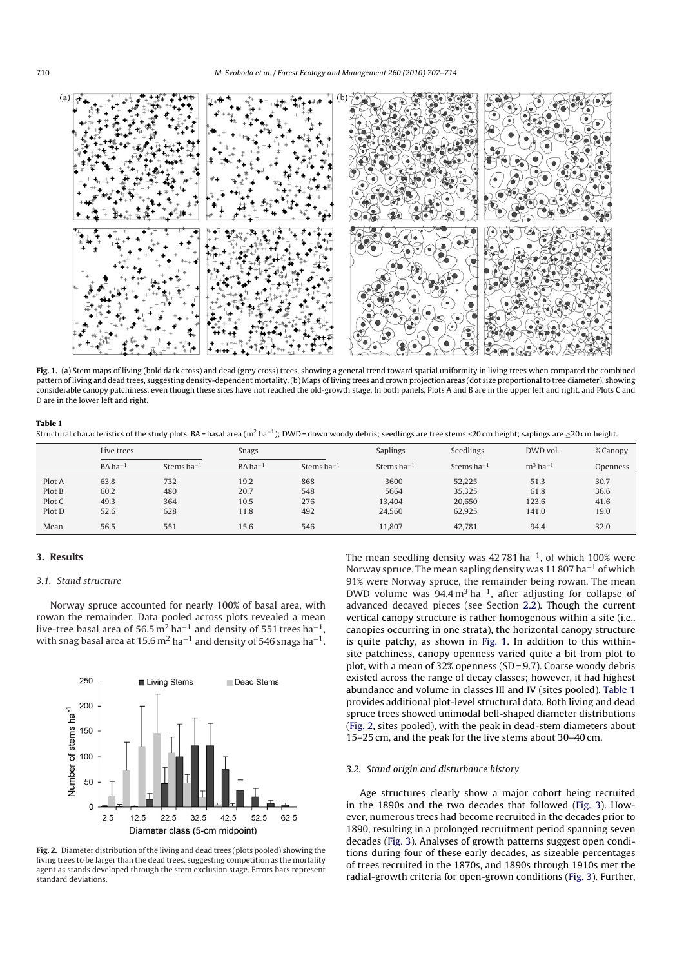

**Fig. 1.** (a) Stem maps of living (bold dark cross) and dead (grey cross) trees, showing a general trend toward spatial uniformity in living trees when compared the combined pattern of living and dead trees, suggesting density-dependent mortality. (b) Maps of living trees and crown projection areas (dot size proportional to tree diameter), showing considerable canopy patchiness, even though these sites have not reached the old-growth stage. In both panels, Plots A and B are in the upper left and right, and Plots C and D are in the lower left and right.

#### **Table 1**

Structural characteristics of the study plots. BA = basal area (m<sup>2</sup> ha<sup>-1</sup>); DWD = down woody debris; seedlings are tree stems <20 cm height; saplings are >20 cm height.

|                                      | Live trees                   |                          | Snags                        |                          | <b>Saplings</b>                  | Seedlings                            | DWD vol.                       | % Canopy                     |  |  |
|--------------------------------------|------------------------------|--------------------------|------------------------------|--------------------------|----------------------------------|--------------------------------------|--------------------------------|------------------------------|--|--|
|                                      | $BA ha^{-1}$                 | Stems $ha^{-1}$          | $BA ha^{-1}$                 | Stems $ha^{-1}$          | Stems $ha^{-1}$                  | Stems $ha^{-1}$                      | $m3$ ha <sup>-1</sup>          | Openness                     |  |  |
| Plot A<br>Plot B<br>Plot C<br>Plot D | 63.8<br>60.2<br>49.3<br>52.6 | 732<br>480<br>364<br>628 | 19.2<br>20.7<br>10.5<br>11.8 | 868<br>548<br>276<br>492 | 3600<br>5664<br>13,404<br>24,560 | 52.225<br>35.325<br>20,650<br>62,925 | 51.3<br>61.8<br>123.6<br>141.0 | 30.7<br>36.6<br>41.6<br>19.0 |  |  |
| Mean                                 | 56.5                         | 551                      | 15.6                         | 546                      | 11.807                           | 42.781                               | 94.4                           | 32.0                         |  |  |

#### **3. Results**

#### 3.1. Stand structure

Norway spruce accounted for nearly 100% of basal area, with rowan the remainder. Data pooled across plots revealed a mean live-tree basal area of 56.5 m<sup>2</sup> ha<sup>-1</sup> and density of 551 trees ha<sup>-1</sup>, with snag basal area at 15.6 m<sup>2</sup> ha<sup> $-1$ </sup> and density of 546 snags ha<sup>-1</sup>.



**Fig. 2.** Diameter distribution of the living and dead trees (plots pooled) showing the living trees to be larger than the dead trees, suggesting competition as the mortality agent as stands developed through the stem exclusion stage. Errors bars represent standard deviations.

The mean seedling density was 42781 ha<sup>-1</sup>, of which 100% were Norway spruce. The mean sapling density was 11 807 ha<sup> $-1$ </sup> of which 91% were Norway spruce, the remainder being rowan. The mean DWD volume was  $94.4 \text{ m}^3 \text{ ha}^{-1}$ , after adjusting for collapse of advanced decayed pieces (see Section 2.2). Though the current vertical canopy structure is rather homogenous within a site (i.e., canopies occurring in one strata), the horizontal canopy structure is quite patchy, as shown in Fig. 1. In addition to this withinsite patchiness, canopy openness varied quite a bit from plot to plot, with a mean of 32% openness (SD = 9.7). Coarse woody debris existed across the range of decay classes; however, it had highest abundance and volume in classes III and IV (sites pooled). Table 1 provides additional plot-level structural data. Both living and dead spruce trees showed unimodal bell-shaped diameter distributions (Fig. 2, sites pooled), with the peak in dead-stem diameters about 15–25 cm, and the peak for the live stems about 30–40 cm.

#### 3.2. Stand origin and disturbance history

Age structures clearly show a major cohort being recruited in the 1890s and the two decades that followed (Fig. 3). However, numerous trees had become recruited in the decades prior to 1890, resulting in a prolonged recruitment period spanning seven decades (Fig. 3). Analyses of growth patterns suggest open conditions during four of these early decades, as sizeable percentages of trees recruited in the 1870s, and 1890s through 1910s met the radial-growth criteria for open-grown conditions (Fig. 3). Further,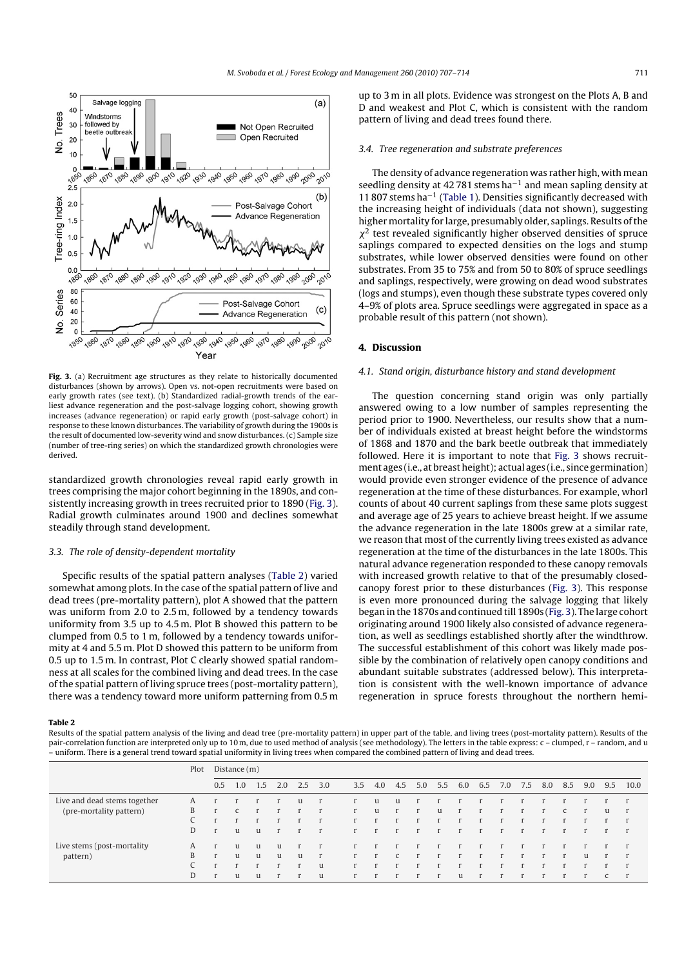

**Fig. 3.** (a) Recruitment age structures as they relate to historically documented disturbances (shown by arrows). Open vs. not-open recruitments were based on early growth rates (see text). (b) Standardized radial-growth trends of the earliest advance regeneration and the post-salvage logging cohort, showing growth increases (advance regeneration) or rapid early growth (post-salvage cohort) in response to these known disturbances. The variability of growth during the 1900s is the result of documented low-severity wind and snow disturbances. (c) Sample size (number of tree-ring series) on which the standardized growth chronologies were derived.

standardized growth chronologies reveal rapid early growth in trees comprising the major cohort beginning in the 1890s, and consistently increasing growth in trees recruited prior to 1890 (Fig. 3). Radial growth culminates around 1900 and declines somewhat steadily through stand development.

# 3.3. The role of density-dependent mortality

Specific results of the spatial pattern analyses (Table 2) varied somewhat among plots. In the case of the spatial pattern of live and dead trees (pre-mortality pattern), plot A showed that the pattern was uniform from 2.0 to 2.5 m, followed by a tendency towards uniformity from 3.5 up to 4.5 m. Plot B showed this pattern to be clumped from 0.5 to 1 m, followed by a tendency towards uniformity at 4 and 5.5 m. Plot D showed this pattern to be uniform from 0.5 up to 1.5 m. In contrast, Plot C clearly showed spatial randomness at all scales for the combined living and dead trees. In the case of the spatial pattern of living spruce trees (post-mortality pattern), there was a tendency toward more uniform patterning from 0.5 m up to 3 m in all plots. Evidence was strongest on the Plots A, B and D and weakest and Plot C, which is consistent with the random pattern of living and dead trees found there.

#### 3.4. Tree regeneration and substrate preferences

The density of advance regeneration was rather high, with mean seedling density at 42 781 stems ha<sup> $-1$ </sup> and mean sapling density at 11 807 stems ha−<sup>1</sup> (Table 1). Densities significantly decreased with the increasing height of individuals (data not shown), suggesting higher mortality for large, presumably older, saplings. Results of the  $\chi^2$  test revealed significantly higher observed densities of spruce saplings compared to expected densities on the logs and stump substrates, while lower observed densities were found on other substrates. From 35 to 75% and from 50 to 80% of spruce seedlings and saplings, respectively, were growing on dead wood substrates (logs and stumps), even though these substrate types covered only 4–9% of plots area. Spruce seedlings were aggregated in space as a probable result of this pattern (not shown).

#### **4. Discussion**

#### 4.1. Stand origin, disturbance history and stand development

The question concerning stand origin was only partially answered owing to a low number of samples representing the period prior to 1900. Nevertheless, our results show that a number of individuals existed at breast height before the windstorms of 1868 and 1870 and the bark beetle outbreak that immediately followed. Here it is important to note that Fig. 3 shows recruitment ages (i.e., at breast height); actual ages (i.e., since germination) would provide even stronger evidence of the presence of advance regeneration at the time of these disturbances. For example, whorl counts of about 40 current saplings from these same plots suggest and average age of 25 years to achieve breast height. If we assume the advance regeneration in the late 1800s grew at a similar rate, we reason that most of the currently living trees existed as advance regeneration at the time of the disturbances in the late 1800s. This natural advance regeneration responded to these canopy removals with increased growth relative to that of the presumably closedcanopy forest prior to these disturbances (Fig. 3). This response is even more pronounced during the salvage logging that likely began in the 1870s and continued till 1890s (Fig. 3). The large cohort originating around 1900 likely also consisted of advance regeneration, as well as seedlings established shortly after the windthrow. The successful establishment of this cohort was likely made possible by the combination of relatively open canopy conditions and abundant suitable substrates (addressed below). This interpretation is consistent with the well-known importance of advance regeneration in spruce forests throughout the northern hemi-

#### **Table 2**

Results of the spatial pattern analysis of the living and dead tree (pre-mortality pattern) in upper part of the table, and living trees (post-mortality pattern). Results of the pair-correlation function are interpreted only up to 10 m, due to used method of analysis (see methodology). The letters in the table express: c - clumped, r - random, and u – uniform. There is a general trend toward spatial uniformity in living trees when compared the combined pattern of living and dead trees.

|                              | Plot | Distance (m) |     |     |     |              |     |     |     |     |     |     |     |     |     |     |     |     |     |     |              |
|------------------------------|------|--------------|-----|-----|-----|--------------|-----|-----|-----|-----|-----|-----|-----|-----|-----|-----|-----|-----|-----|-----|--------------|
|                              |      | 0.5          | 1.0 | 1.5 | 2.0 | 2.5          | 3.0 | 3.5 | 4.0 | 4.5 | 5.0 | 5.5 | 6.0 | 6.5 | 7.0 | 7.5 | 8.0 | 8.5 | 9.0 | 9.5 | 10.0         |
| Live and dead stems together | A    |              |     |     |     | u            |     |     | u   | u   |     |     |     |     |     |     |     |     |     |     | r            |
| (pre-mortality pattern)      | B    |              |     |     |     |              | r   |     | u   |     |     | u   |     |     |     |     |     | C   |     | u   | $\Gamma$     |
|                              |      |              |     |     |     |              | г   |     |     |     |     |     |     |     |     |     |     |     |     |     | $\mathbf{r}$ |
|                              | D    | $\mathbf{r}$ | u   | u   |     |              |     |     |     |     |     |     |     |     |     |     |     |     |     |     | $\mathbf{r}$ |
| Live stems (post-mortality   | A    |              | u   | u   | u   |              |     |     |     |     |     |     |     |     |     |     |     |     |     |     | $\mathbf{r}$ |
| pattern)                     | B    | $\mathbf{r}$ | u   | u   | u   | u            | r   |     |     |     |     |     |     |     |     |     |     |     | u   |     | $\mathbf{r}$ |
|                              |      |              |     |     |     |              | u   |     |     |     |     |     |     |     |     |     |     |     |     |     | $\mathbf{r}$ |
|                              | D    | $\mathbf{r}$ | u   | u   |     | $\mathbf{r}$ | u   |     |     |     |     |     | u   |     |     |     |     |     |     |     | $\mathbf{r}$ |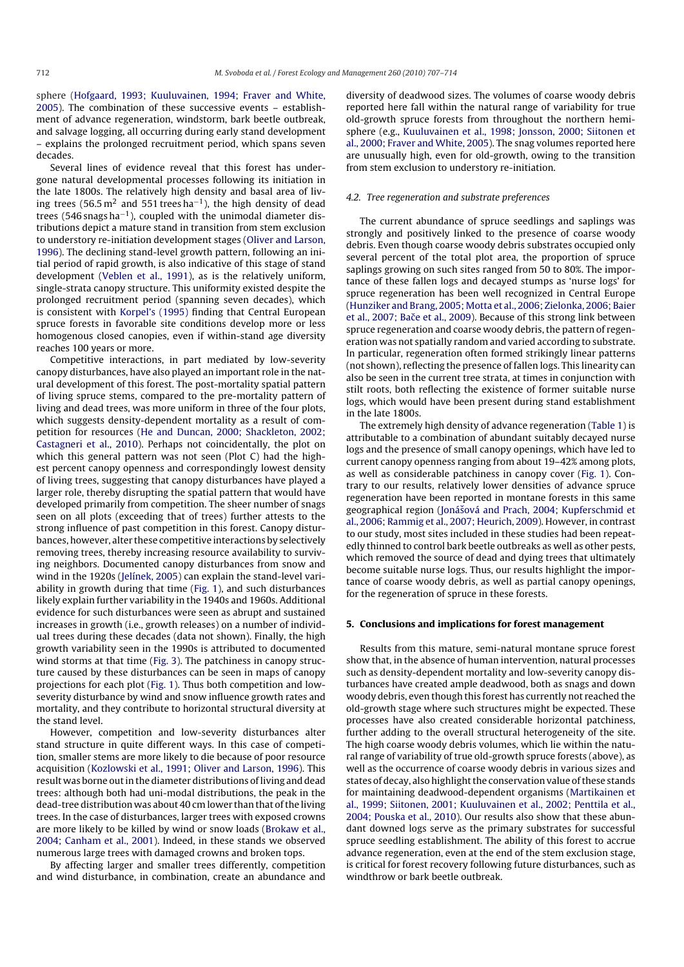sphere (Hofgaard, 1993; Kuuluvainen, 1994; Fraver and White, 2005). The combination of these successive events – establishment of advance regeneration, windstorm, bark beetle outbreak, and salvage logging, all occurring during early stand development – explains the prolonged recruitment period, which spans seven decades.

Several lines of evidence reveal that this forest has undergone natural developmental processes following its initiation in the late 1800s. The relatively high density and basal area of living trees (56.5 m<sup>2</sup> and 551 trees ha<sup>-1</sup>), the high density of dead trees (546 snags ha−1), coupled with the unimodal diameter distributions depict a mature stand in transition from stem exclusion to understory re-initiation development stages (Oliver and Larson, 1996). The declining stand-level growth pattern, following an initial period of rapid growth, is also indicative of this stage of stand development (Veblen et al., 1991), as is the relatively uniform, single-strata canopy structure. This uniformity existed despite the prolonged recruitment period (spanning seven decades), which is consistent with Korpel's (1995) finding that Central European spruce forests in favorable site conditions develop more or less homogenous closed canopies, even if within-stand age diversity reaches 100 years or more.

Competitive interactions, in part mediated by low-severity canopy disturbances, have also played an important role in the natural development of this forest. The post-mortality spatial pattern of living spruce stems, compared to the pre-mortality pattern of living and dead trees, was more uniform in three of the four plots, which suggests density-dependent mortality as a result of competition for resources (He and Duncan, 2000; Shackleton, 2002; Castagneri et al., 2010). Perhaps not coincidentally, the plot on which this general pattern was not seen (Plot C) had the highest percent canopy openness and correspondingly lowest density of living trees, suggesting that canopy disturbances have played a larger role, thereby disrupting the spatial pattern that would have developed primarily from competition. The sheer number of snags seen on all plots (exceeding that of trees) further attests to the strong influence of past competition in this forest. Canopy disturbances, however, alter these competitive interactions by selectively removing trees, thereby increasing resource availability to surviving neighbors. Documented canopy disturbances from snow and wind in the 1920s (Jelínek, 2005) can explain the stand-level variability in growth during that time (Fig. 1), and such disturbances likely explain further variability in the 1940s and 1960s. Additional evidence for such disturbances were seen as abrupt and sustained increases in growth (i.e., growth releases) on a number of individual trees during these decades (data not shown). Finally, the high growth variability seen in the 1990s is attributed to documented wind storms at that time (Fig. 3). The patchiness in canopy structure caused by these disturbances can be seen in maps of canopy projections for each plot (Fig. 1). Thus both competition and lowseverity disturbance by wind and snow influence growth rates and mortality, and they contribute to horizontal structural diversity at the stand level.

However, competition and low-severity disturbances alter stand structure in quite different ways. In this case of competition, smaller stems are more likely to die because of poor resource acquisition (Kozlowski et al., 1991; Oliver and Larson, 1996). This result was borne out in the diameter distributions of living and dead trees: although both had uni-modal distributions, the peak in the dead-tree distribution was about 40 cm lower than that of the living trees. In the case of disturbances, larger trees with exposed crowns are more likely to be killed by wind or snow loads (Brokaw et al., 2004; Canham et al., 2001). Indeed, in these stands we observed numerous large trees with damaged crowns and broken tops.

By affecting larger and smaller trees differently, competition and wind disturbance, in combination, create an abundance and diversity of deadwood sizes. The volumes of coarse woody debris reported here fall within the natural range of variability for true old-growth spruce forests from throughout the northern hemisphere (e.g., Kuuluvainen et al., 1998; Jonsson, 2000; Siitonen et al., 2000; Fraver and White, 2005). The snag volumes reported here are unusually high, even for old-growth, owing to the transition from stem exclusion to understory re-initiation.

#### 4.2. Tree regeneration and substrate preferences

The current abundance of spruce seedlings and saplings was strongly and positively linked to the presence of coarse woody debris. Even though coarse woody debris substrates occupied only several percent of the total plot area, the proportion of spruce saplings growing on such sites ranged from 50 to 80%. The importance of these fallen logs and decayed stumps as 'nurse logs' for spruce regeneration has been well recognized in Central Europe (Hunziker and Brang, 2005; Motta et al., 2006; Zielonka, 2006; Baier et al., 2007; Bače et al., 2009). Because of this strong link between spruce regeneration and coarse woody debris, the pattern of regeneration was not spatially random and varied according to substrate. In particular, regeneration often formed strikingly linear patterns (not shown), reflecting the presence of fallen logs. This linearity can also be seen in the current tree strata, at times in conjunction with stilt roots, both reflecting the existence of former suitable nurse logs, which would have been present during stand establishment in the late 1800s.

The extremely high density of advance regeneration (Table 1) is attributable to a combination of abundant suitably decayed nurse logs and the presence of small canopy openings, which have led to current canopy openness ranging from about 19–42% among plots, as well as considerable patchiness in canopy cover (Fig. 1). Contrary to our results, relatively lower densities of advance spruce regeneration have been reported in montane forests in this same geographical region (Jonášová and Prach, 2004; Kupferschmid et al., 2006; Rammig et al., 2007; Heurich, 2009). However, in contrast to our study, most sites included in these studies had been repeatedly thinned to control bark beetle outbreaks as well as other pests, which removed the source of dead and dying trees that ultimately become suitable nurse logs. Thus, our results highlight the importance of coarse woody debris, as well as partial canopy openings, for the regeneration of spruce in these forests.

#### **5. Conclusions and implications for forest management**

Results from this mature, semi-natural montane spruce forest show that, in the absence of human intervention, natural processes such as density-dependent mortality and low-severity canopy disturbances have created ample deadwood, both as snags and down woody debris, even though this forest has currently not reached the old-growth stage where such structures might be expected. These processes have also created considerable horizontal patchiness, further adding to the overall structural heterogeneity of the site. The high coarse woody debris volumes, which lie within the natural range of variability of true old-growth spruce forests (above), as well as the occurrence of coarse woody debris in various sizes and states of decay, also highlight the conservation value of these stands for maintaining deadwood-dependent organisms (Martikainen et al., 1999; Siitonen, 2001; Kuuluvainen et al., 2002; Penttila et al., 2004; Pouska et al., 2010). Our results also show that these abundant downed logs serve as the primary substrates for successful spruce seedling establishment. The ability of this forest to accrue advance regeneration, even at the end of the stem exclusion stage, is critical for forest recovery following future disturbances, such as windthrow or bark beetle outbreak.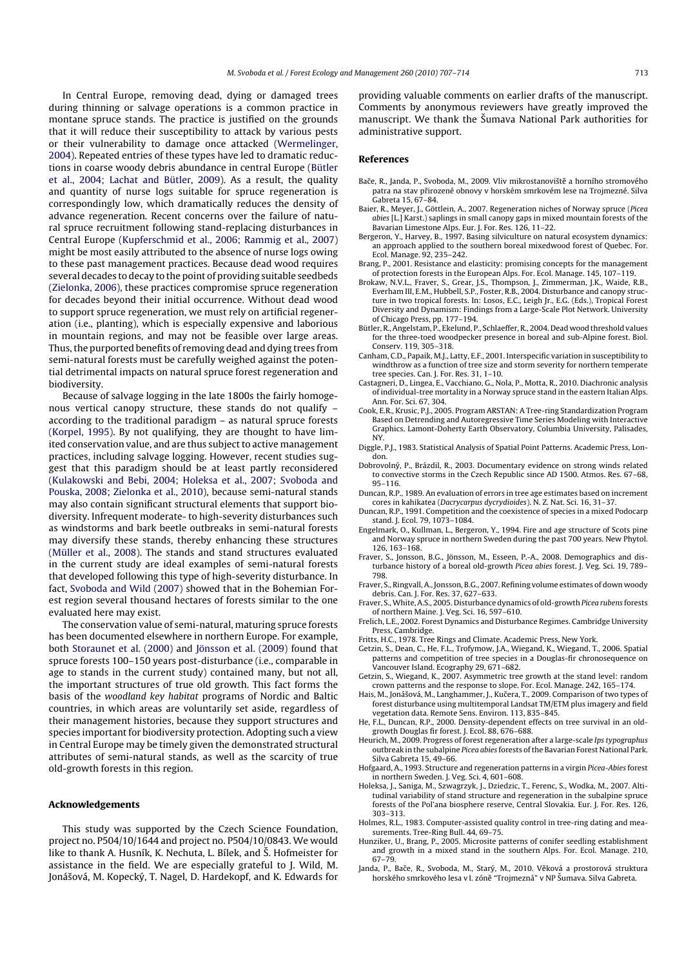In Central Europe, removing dead, dying or damaged trees during thinning or salvage operations is a common practice in montane spruce stands. The practice is justified on the grounds that it will reduce their susceptibility to attack by various pests or their vulnerability to damage once attacked (Wermelinger, 2004). Repeated entries of these types have led to dramatic reductions in coarse woody debris abundance in central Europe (Bütler et al., 2004; Lachat and Bütler, 2009). As a result, the quality and quantity of nurse logs suitable for spruce regeneration is correspondingly low, which dramatically reduces the density of advance regeneration. Recent concerns over the failure of natural spruce recruitment following stand-replacing disturbances in Central Europe (Kupferschmid et al., 2006; Rammig et al., 2007) might be most easily attributed to the absence of nurse logs owing to these past management practices. Because dead wood requires several decades to decay to the point of providing suitable seedbeds (Zielonka, 2006), these practices compromise spruce regeneration for decades beyond their initial occurrence. Without dead wood to support spruce regeneration, we must rely on artificial regeneration (i.e., planting), which is especially expensive and laborious in mountain regions, and may not be feasible over large areas. Thus, the purported benefits of removing dead and dying trees from semi-natural forests must be carefully weighed against the potential detrimental impacts on natural spruce forest regeneration and biodiversity.

Because of salvage logging in the late 1800s the fairly homogenous vertical canopy structure, these stands do not qualify – according to the traditional paradigm – as natural spruce forests (Korpel, 1995). By not qualifying, they are thought to have limited conservation value, and are thus subject to active management practices, including salvage logging. However, recent studies suggest that this paradigm should be at least partly reconsidered (Kulakowski and Bebi, 2004; Holeksa et al., 2007; Svoboda and Pouska, 2008; Zielonka et al., 2010), because semi-natural stands may also contain significant structural elements that support biodiversity. Infrequent moderate- to high-severity disturbances such as windstorms and bark beetle outbreaks in semi-natural forests may diversify these stands, thereby enhancing these structures (Müller et al., 2008). The stands and stand structures evaluated in the current study are ideal examples of semi-natural forests that developed following this type of high-severity disturbance. In fact, Svoboda and Wild (2007) showed that in the Bohemian Forest region several thousand hectares of forests similar to the one evaluated here may exist.

The conservation value of semi-natural, maturing spruce forests has been documented elsewhere in northern Europe. For example, both Storaunet et al. (2000) and Jönsson et al. (2009) found that spruce forests 100–150 years post-disturbance (i.e., comparable in age to stands in the current study) contained many, but not all, the important structures of true old growth. This fact forms the basis of the woodland key habitat programs of Nordic and Baltic countries, in which areas are voluntarily set aside, regardless of their management histories, because they support structures and species important for biodiversity protection. Adopting such a view in Central Europe may be timely given the demonstrated structural attributes of semi-natural stands, as well as the scarcity of true old-growth forests in this region.

### **Acknowledgements**

This study was supported by the Czech Science Foundation, project no. P504/10/1644 and project no. P504/10/0843. We would like to thank A. Husník, K. Nechuta, L. Bílek, and Š. Hofmeister for assistance in the field. We are especially grateful to J. Wild, M. Jonášová, M. Kopecký, T. Nagel, D. Hardekopf, and K. Edwards for providing valuable comments on earlier drafts of the manuscript. Comments by anonymous reviewers have greatly improved the manuscript. We thank the Šumava National Park authorities for administrative support.

#### **References**

- Bače, R., Janda, P., Svoboda, M., 2009. Vliv mikrostanoviště a horního stromového patra na stav přirozené obnovy v horském smrkovém lese na Trojmezné. Silva Gabreta 15, 67–84.
- Baier, R., Meyer, J., Göttlein, A., 2007. Regeneration niches of Norway spruce (Picea abies [L.] Karst.) saplings in small canopy gaps in mixed mountain forests of the Bavarian Limestone Alps. Eur. J. For. Res. 126, 11–22.
- Bergeron, Y., Harvey, B., 1997. Basing silviculture on natural ecosystem dynamics: an approach applied to the southern boreal mixedwood forest of Quebec. For. Ecol. Manage. 92, 235–242.
- Brang, P., 2001. Resistance and elasticity: promising concepts for the management of protection forests in the European Alps. For. Ecol. Manage. 145, 107–119.
- Brokaw, N.V.L., Fraver, S., Grear, J.S., Thompson, J., Zimmerman, J.K., Waide, R.B., Everham III, E.M., Hubbell, S.P., Foster, R.B., 2004. Disturbance and canopy structure in two tropical forests. In: Losos, E.C., Leigh Jr., E.G. (Eds.), Tropical Forest Diversity and Dynamism: Findings from a Large-Scale Plot Network. University of Chicago Press, pp. 177–194. Bütler, R., Angelstam, P., Ekelund, P., Schlaeffer, R., 2004. Dead wood threshold values
- for the three-toed woodpecker presence in boreal and sub-Alpine forest. Biol. Conserv. 119, 305–318.
- Canham, C.D., Papaik, M.J., Latty, E.F., 2001. Interspecific variation in susceptibility to windthrow as a function of tree size and storm severity for northern temperate tree species. Can. J. For. Res. 31, 1–10.
- Castagneri, D., Lingea, E., Vacchiano, G., Nola, P., Motta, R., 2010. Diachronic analysis of individual-tree mortality in a Norway spruce stand in the eastern Italian Alps. Ann. For. Sci. 67, 304.
- Cook, E.R., Krusic, P.J., 2005. Program ARSTAN: A Tree-ring Standardization Program Based on Detrending and Autoregressive Time Series Modeling with Interactive Graphics. Lamont-Doherty Earth Observatory, Columbia University, Palisades, NY.
- Diggle, P.J., 1983. Statistical Analysis of Spatial Point Patterns. Academic Press, London.
- Dobrovolny, P., Brázdil, R., 2003. Documentary evidence on strong winds related ´ to convective storms in the Czech Republic since AD 1500. Atmos. Res. 67–68, 95–116.
- Duncan, R.P., 1989. An evaluation of errors in tree age estimates based on increment cores in kahikatea (Dacrycarpus dycrydioides). N. Z. Nat. Sci. 16, 31–37.
- Duncan, R.P., 1991. Competition and the coexistence of species in a mixed Podocarp stand. J. Ecol. 79, 1073–1084.
- Engelmark, O., Kullman, L., Bergeron, Y., 1994. Fire and age structure of Scots pine and Norway spruce in northern Sweden during the past 700 years. New Phytol. 126, 163–168.
- Fraver, S., Jonsson, B.G., Jönsson, M., Esseen, P.-A., 2008. Demographics and disturbance history of a boreal old-growth Picea abies forest. J. Veg. Sci. 19, 789– 798.
- Fraver, S., Ringvall, A., Jonsson, B.G., 2007. Refining volume estimates of down woody debris. Can. J. For. Res. 37, 627–633.
- Fraver, S.,White, A.S., 2005. Disturbance dynamics of old-growth Picea rubens forests of northern Maine. J. Veg. Sci. 16, 597–610.
- Frelich, L.E., 2002. Forest Dynamics and Disturbance Regimes. Cambridge University Press, Cambridge.
- Fritts, H.C., 1978. Tree Rings and Climate. Academic Press, New York.
- Getzin, S., Dean, C., He, F.L., Trofymow, J.A., Wiegand, K., Wiegand, T., 2006. Spatial patterns and competition of tree species in a Douglas-fir chronosequence on Vancouver Island. Ecography 29, 671–682.
- Getzin, S., Wiegand, K., 2007. Asymmetric tree growth at the stand level: random crown patterns and the response to slope. For. Ecol. Manage. 242, 165–174.
- Hais, M., Jonášová, M., Langhammer, J., Kučera, T., 2009. Comparison of two types of forest disturbance using multitemporal Landsat TM/ETM plus imagery and field vegetation data. Remote Sens. Environ. 113, 835–845.
- He, F.L., Duncan, R.P., 2000. Density-dependent effects on tree survival in an oldgrowth Douglas fir forest. J. Ecol. 88, 676–688.
- Heurich, M., 2009. Progress of forest regeneration after a large-scale Ips typographus outbreak in the subalpine Picea abies forests of the Bavarian Forest National Park. Silva Gabreta 15, 49–66.
- Hofgaard, A., 1993. Structure and regeneration patterns in a virgin Picea-Abies forest in northern Sweden. J. Veg. Sci. 4, 601–608.
- Holeksa, J., Saniga, M., Szwagrzyk, J., Dziedzic, T., Ferenc, S., Wodka, M., 2007. Altitudinal variability of stand structure and regeneration in the subalpine spruce forests of the Pol'ana biosphere reserve, Central Slovakia. Eur. J. For. Res. 126, 303–313.
- Holmes, R.L., 1983. Computer-assisted quality control in tree-ring dating and measurements. Tree-Ring Bull. 44, 69–75.
- Hunziker, U., Brang, P., 2005. Microsite patterns of conifer seedling establishment and growth in a mixed stand in the southern Alps. For. Ecol. Manage. 210, 67–79.
- Janda, P., Bače, R., Svoboda, M., Starý, M., 2010. Věková a prostorová struktura horského smrkového lesa v I. zóně "Trojmezná" v NP Šumava. Silva Gabreta.